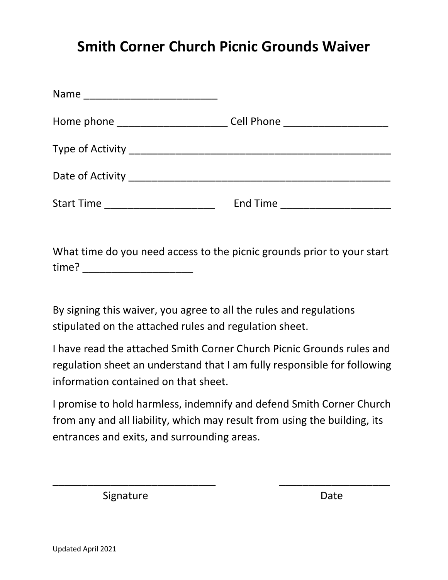## **Smith Corner Church Picnic Grounds Waiver**

| Start Time _______________________ | End Time ________________________ |
|------------------------------------|-----------------------------------|
|                                    |                                   |

What time do you need access to the picnic grounds prior to your start time? \_\_\_\_\_\_\_\_\_\_\_\_\_\_\_\_\_\_\_\_\_\_\_\_\_\_\_

By signing this waiver, you agree to all the rules and regulations stipulated on the attached rules and regulation sheet.

I have read the attached Smith Corner Church Picnic Grounds rules and regulation sheet an understand that I am fully responsible for following information contained on that sheet.

I promise to hold harmless, indemnify and defend Smith Corner Church from any and all liability, which may result from using the building, its entrances and exits, and surrounding areas.

 $\overline{\phantom{a}}$  , and the contract of the contract of the contract of the contract of the contract of the contract of the contract of the contract of the contract of the contract of the contract of the contract of the contrac

Signature Date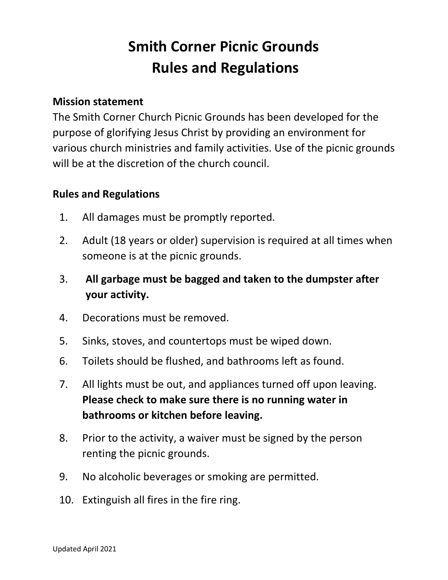## **Smith Corner Picnic Grounds Rules and Regulations**

## **Mission statement**

The Smith Corner Church Picnic Grounds has been developed for the purpose of glorifying Jesus Christ by providing an environment for various church ministries and family activities. Use of the picnic grounds will be at the discretion of the church council.

## **Rules and Regulations**

- 1. All damages must be promptly reported.
- 2. Adult (18 years or older) supervision is required at all times when someone is at the picnic grounds.
- 3. **All garbage must be bagged and taken to the dumpster after your activity.**
- 4. Decorations must be removed.
- 5. Sinks, stoves, and countertops must be wiped down.
- 6. Toilets should be flushed, and bathrooms left as found.
- 7. All lights must be out, and appliances turned off upon leaving. **Please check to make sure there is no running water in bathrooms or kitchen before leaving.**
- 8. Prior to the activity, a waiver must be signed by the person renting the picnic grounds.
- 9. No alcoholic beverages or smoking are permitted.
- 10. Extinguish all fires in the fire ring.